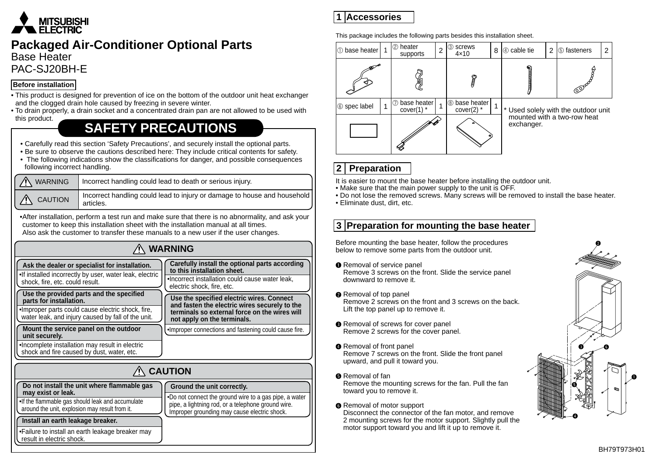

# **Packaged Air-Conditioner Optional Parts**

**Base Heater PAC-SJ20BH-F** 

#### **Before installation**

- This product is designed for prevention of ice on the bottom of the outdoor unit heat exchanger and the clogged drain hole caused by freezing in severe winter.
- To drain properly, a drain socket and a concentrated drain pan are not allowed to be used with this product.

# **SAFETY PRECAUTIONS**

- Carefully read this section 'Safety Precautions', and securely install the optional parts.
- . Be sure to observe the cautions described here: They include critical contents for safety.
- The following indications show the classifications for danger, and possible consequences following incorrect handling.

| <b>WARNING</b>      | Incorrect handling could lead to death or serious injury.                             |  |
|---------------------|---------------------------------------------------------------------------------------|--|
| $\bigwedge$ CAUTION | Incorrect handling could lead to injury or damage to house and household<br>articles. |  |

• After installation, perform a test run and make sure that there is no abnormality, and ask your customer to keep this installation sheet with the installation manual at all times. Also ask the customer to transfer these manuals to a new user if the user changes.

| <b>WARNING</b>                                                                                                                                                                 |                                                                                                                                                                            |  |  |
|--------------------------------------------------------------------------------------------------------------------------------------------------------------------------------|----------------------------------------------------------------------------------------------------------------------------------------------------------------------------|--|--|
| Ask the dealer or specialist for installation.<br>. If installed incorrectly by user, water leak, electric<br>shock, fire, etc. could result.                                  | Carefully install the optional parts according<br>to this installation sheet.<br>. Incorrect installation could cause water leak,<br>electric shock, fire, etc.            |  |  |
| Use the provided parts and the specified<br>parts for installation.<br>•Improper parts could cause electric shock, fire,<br>water leak, and injury caused by fall of the unit. | Use the specified electric wires. Connect<br>and fasten the electric wires securely to the<br>terminals so external force on the wires will<br>not apply on the terminals. |  |  |
| Mount the service panel on the outdoor<br>unit securely.                                                                                                                       | . Improper connections and fastening could cause fire.                                                                                                                     |  |  |
| . Incomplete installation may result in electric<br>shock and fire caused by dust, water, etc.                                                                                 |                                                                                                                                                                            |  |  |
| <b>AUTION</b>                                                                                                                                                                  |                                                                                                                                                                            |  |  |

| <b>AN CAUTION</b>                                                                                   |                                                                                                                                                              |  |  |
|-----------------------------------------------------------------------------------------------------|--------------------------------------------------------------------------------------------------------------------------------------------------------------|--|--|
| Do not install the unit where flammable gas<br>may exist or leak.                                   | Ground the unit correctly.                                                                                                                                   |  |  |
| . If the flammable gas should leak and accumulate<br>around the unit, explosion may result from it. | .Do not connect the ground wire to a gas pipe, a water<br>pipe, a lightning rod, or a telephone ground wire.<br>Improper grounding may cause electric shock. |  |  |
| Install an earth leakage breaker.                                                                   |                                                                                                                                                              |  |  |
| •Failure to install an earth leakage breaker may<br>result in electric shock.                       |                                                                                                                                                              |  |  |

# **Accessories 1**

This package includes the following parts besides this installation sheet.



## **2** Preparation

- It is easier to mount the base heater before installing the outdoor unit.
- Make sure that the main power supply to the unit is OFF.
- Do not lose the removed screws. Many screws will be removed to install the base heater.
- Eliminate dust, dirt, etc.

### **B** Preparation for mounting the base heater

Before mounting the base heater, follow the procedures below to remove some parts from the outdoor unit.

- **O** Removal of service panel Remove 3 screws on the front. Slide the service panel downward to remove it.
- **@** Removal of top panel Remove 2 screws on the front and 3 screws on the back. Lift the top panel up to remove it.
- **O** Removal of screws for cover panel Remove 2 screws for the cover panel.
- **Q** Removal of front panel Remove 7 screws on the front. Slide the front panel upward, and pull it toward you.
- **6** Removal of fan

Remove the mounting screws for the fan. Pull the fan toward you to remove it.

#### **6** Removal of motor support

Disconnect the connector of the fan motor, and remove 2 mounting screws for the motor support. Slightly pull the motor support toward you and lift it up to remove it.